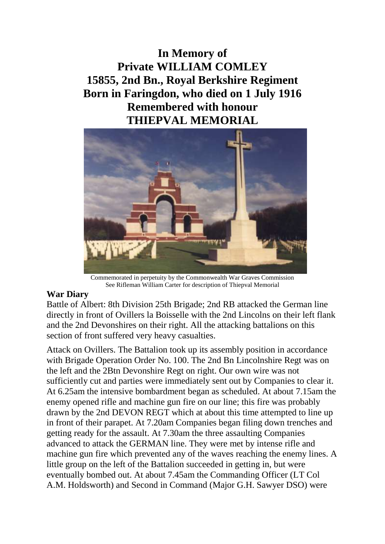**In Memory of Private WILLIAM COMLEY 15855, 2nd Bn., Royal Berkshire Regiment Born in Faringdon, who died on 1 July 1916 Remembered with honour THIEPVAL MEMORIAL**



Commemorated in perpetuity by the Commonwealth War Graves Commission See Rifleman William Carter for description of Thiepval Memorial

## **War Diary**

Battle of Albert: 8th Division 25th Brigade; 2nd RB attacked the German line directly in front of Ovillers la Boisselle with the 2nd Lincolns on their left flank and the 2nd Devonshires on their right. All the attacking battalions on this section of front suffered very heavy casualties.

Attack on Ovillers. The Battalion took up its assembly position in accordance with Brigade Operation Order No. 100. The 2nd Bn Lincolnshire Regt was on the left and the 2Btn Devonshire Regt on right. Our own wire was not sufficiently cut and parties were immediately sent out by Companies to clear it. At 6.25am the intensive bombardment began as scheduled. At about 7.15am the enemy opened rifle and machine gun fire on our line; this fire was probably drawn by the 2nd DEVON REGT which at about this time attempted to line up in front of their parapet. At 7.20am Companies began filing down trenches and getting ready for the assault. At 7.30am the three assaulting Companies advanced to attack the GERMAN line. They were met by intense rifle and machine gun fire which prevented any of the waves reaching the enemy lines. A little group on the left of the Battalion succeeded in getting in, but were eventually bombed out. At about 7.45am the Commanding Officer (LT Col A.M. Holdsworth) and Second in Command (Major G.H. Sawyer DSO) were